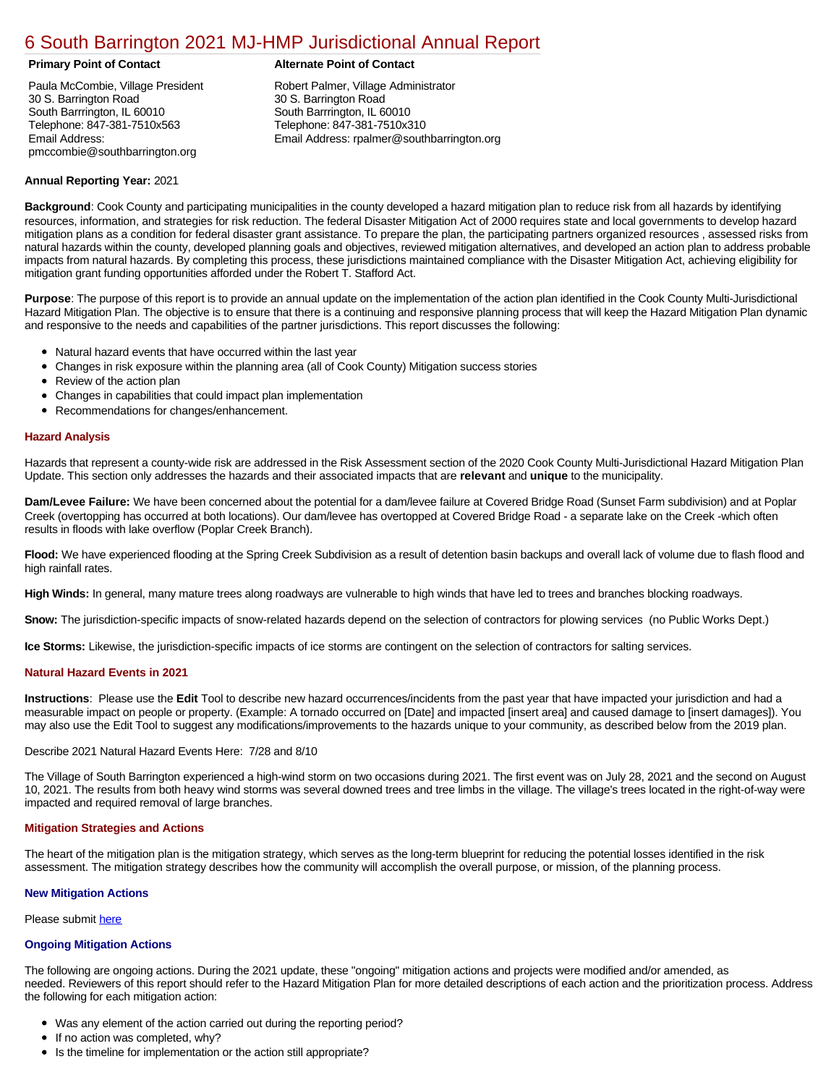# [6 South Barrington 2021 MJ-HMP Jurisdictional Annual Report](https://ccdhsem-barrington.isc-cemp.com/Cemp/Details?id=8322917)

Paula McCombie, Village President 30 S. Barrington Road South Barrrington, IL 60010 Telephone: 847-381-7510x563 Email Address: pmccombie@southbarrington.org

# **Primary Point of Contact Alternate Point of Contact**

Robert Palmer, Village Administrator 30 S. Barrington Road South Barrrington, IL 60010 Telephone: 847-381-7510x310 Email Address: rpalmer@southbarrington.org

# **Annual Reporting Year:** 2021

**Background**: Cook County and participating municipalities in the county developed a hazard mitigation plan to reduce risk from all hazards by identifying resources, information, and strategies for risk reduction. The federal Disaster Mitigation Act of 2000 requires state and local governments to develop hazard mitigation plans as a condition for federal disaster grant assistance. To prepare the plan, the participating partners organized resources , assessed risks from natural hazards within the county, developed planning goals and objectives, reviewed mitigation alternatives, and developed an action plan to address probable impacts from natural hazards. By completing this process, these jurisdictions maintained compliance with the Disaster Mitigation Act, achieving eligibility for mitigation grant funding opportunities afforded under the Robert T. Stafford Act.

**Purpose**: The purpose of this report is to provide an annual update on the implementation of the action plan identified in the Cook County Multi-Jurisdictional Hazard Mitigation Plan. The objective is to ensure that there is a continuing and responsive planning process that will keep the Hazard Mitigation Plan dynamic and responsive to the needs and capabilities of the partner jurisdictions. This report discusses the following:

- Natural hazard events that have occurred within the last year
- Changes in risk exposure within the planning area (all of Cook County) Mitigation success stories
- $\bullet$ Review of the action plan
- Changes in capabilities that could impact plan implementation
- Recommendations for changes/enhancement.

# **Hazard Analysis**

Hazards that represent a county-wide risk are addressed in the Risk Assessment section of the 2020 Cook County Multi-Jurisdictional Hazard Mitigation Plan Update. This section only addresses the hazards and their associated impacts that are **relevant** and **unique** to the municipality.

**Dam/Levee Failure:** We have been concerned about the potential for a dam/levee failure at Covered Bridge Road (Sunset Farm subdivision) and at Poplar Creek (overtopping has occurred at both locations). Our dam/levee has overtopped at Covered Bridge Road - a separate lake on the Creek -which often results in floods with lake overflow (Poplar Creek Branch).

**Flood:** We have experienced flooding at the Spring Creek Subdivision as a result of detention basin backups and overall lack of volume due to flash flood and high rainfall rates.

**High Winds:** In general, many mature trees along roadways are vulnerable to high winds that have led to trees and branches blocking roadways.

**Snow:** The jurisdiction-specific impacts of snow-related hazards depend on the selection of contractors for plowing services (no Public Works Dept.)

**Ice Storms:** Likewise, the jurisdiction-specific impacts of ice storms are contingent on the selection of contractors for salting services.

### **Natural Hazard Events in 2021**

**Instructions**: Please use the **Edit** Tool to describe new hazard occurrences/incidents from the past year that have impacted your jurisdiction and had a measurable impact on people or property. (Example: A tornado occurred on [Date] and impacted [insert area] and caused damage to [insert damages]). You may also use the Edit Tool to suggest any modifications/improvements to the hazards unique to your community, as described below from the 2019 plan.

### Describe 2021 Natural Hazard Events Here: 7/28 and 8/10

The Village of South Barrington experienced a high-wind storm on two occasions during 2021. The first event was on July 28, 2021 and the second on August 10, 2021. The results from both heavy wind storms was several downed trees and tree limbs in the village. The village's trees located in the right-of-way were impacted and required removal of large branches.

### **Mitigation Strategies and Actions**

The heart of the mitigation plan is the mitigation strategy, which serves as the long-term blueprint for reducing the potential losses identified in the risk assessment. The mitigation strategy describes how the community will accomplish the overall purpose, or mission, of the planning process.

### **New Mitigation Actions**

Please submit [here](https://integratedsolutions.wufoo.com/forms/mg21jvf0jn639o/)

### **Ongoing Mitigation Actions**

The following are ongoing actions. During the 2021 update, these "ongoing" mitigation actions and projects were modified and/or amended, as needed. Reviewers of this report should refer to the Hazard Mitigation Plan for more detailed descriptions of each action and the prioritization process. Address the following for each mitigation action:

- Was any element of the action carried out during the reporting period?
- If no action was completed, why?
- Is the timeline for implementation or the action still appropriate?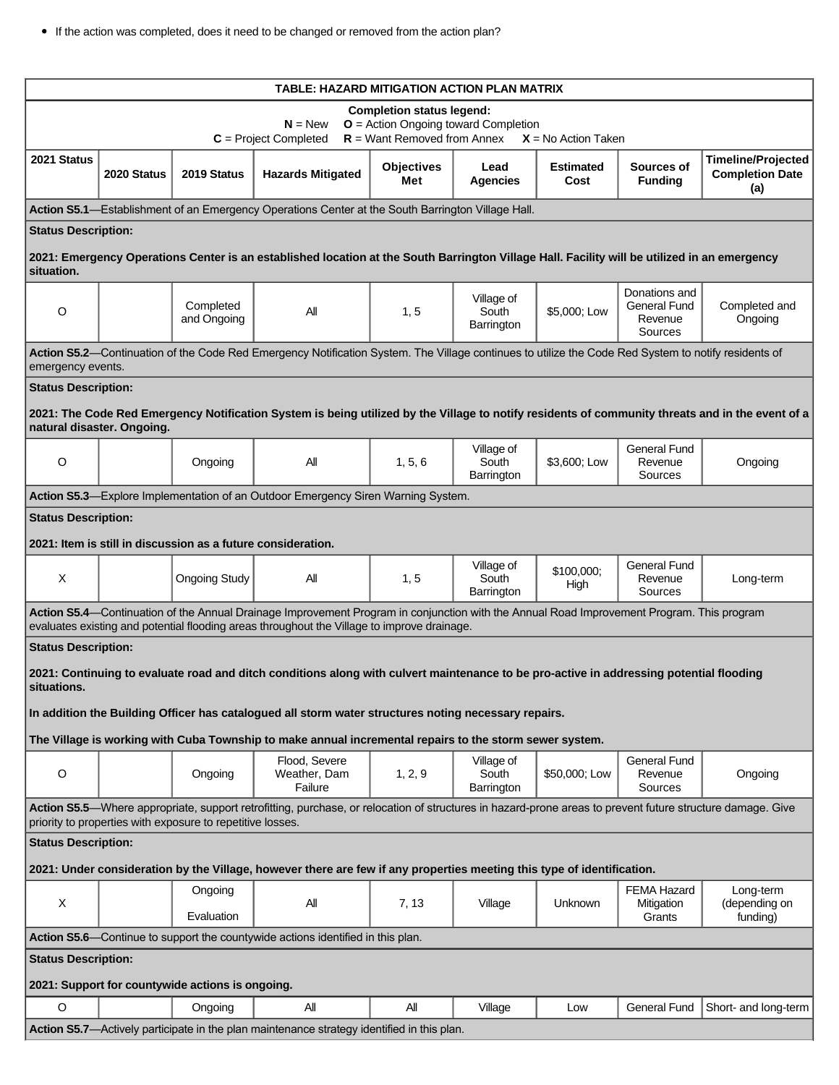| <b>TABLE: HAZARD MITIGATION ACTION PLAN MATRIX</b>                                                                                                                                                                      |             |                                                              |                                                                                                                                                                                                                                          |                          |                                   |                          |                                                     |                                                            |
|-------------------------------------------------------------------------------------------------------------------------------------------------------------------------------------------------------------------------|-------------|--------------------------------------------------------------|------------------------------------------------------------------------------------------------------------------------------------------------------------------------------------------------------------------------------------------|--------------------------|-----------------------------------|--------------------------|-----------------------------------------------------|------------------------------------------------------------|
| <b>Completion status legend:</b><br>$N = New$<br>$O =$ Action Ongoing toward Completion<br>$R =$ Want Removed from Annex<br>$C = Project Completed$<br>$X = No$ Action Taken                                            |             |                                                              |                                                                                                                                                                                                                                          |                          |                                   |                          |                                                     |                                                            |
| 2021 Status                                                                                                                                                                                                             | 2020 Status | 2019 Status                                                  | <b>Hazards Mitigated</b>                                                                                                                                                                                                                 | <b>Objectives</b><br>Met | Lead<br>Agencies                  | <b>Estimated</b><br>Cost | Sources of<br><b>Funding</b>                        | <b>Timeline/Projected</b><br><b>Completion Date</b><br>(a) |
|                                                                                                                                                                                                                         |             |                                                              | Action S5.1—Establishment of an Emergency Operations Center at the South Barrington Village Hall.                                                                                                                                        |                          |                                   |                          |                                                     |                                                            |
| <b>Status Description:</b>                                                                                                                                                                                              |             |                                                              |                                                                                                                                                                                                                                          |                          |                                   |                          |                                                     |                                                            |
| situation.                                                                                                                                                                                                              |             |                                                              | 2021: Emergency Operations Center is an established location at the South Barrington Village Hall. Facility will be utilized in an emergency                                                                                             |                          |                                   |                          |                                                     |                                                            |
| $\circ$                                                                                                                                                                                                                 |             | Completed<br>and Ongoing                                     | All                                                                                                                                                                                                                                      | 1, 5                     | Village of<br>South<br>Barrington | \$5,000; Low             | Donations and<br>General Fund<br>Revenue<br>Sources | Completed and<br>Ongoing                                   |
| Action S5.2-Continuation of the Code Red Emergency Notification System. The Village continues to utilize the Code Red System to notify residents of<br>emergency events.                                                |             |                                                              |                                                                                                                                                                                                                                          |                          |                                   |                          |                                                     |                                                            |
| <b>Status Description:</b>                                                                                                                                                                                              |             |                                                              |                                                                                                                                                                                                                                          |                          |                                   |                          |                                                     |                                                            |
| 2021: The Code Red Emergency Notification System is being utilized by the Village to notify residents of community threats and in the event of a<br>natural disaster. Ongoing.                                          |             |                                                              |                                                                                                                                                                                                                                          |                          |                                   |                          |                                                     |                                                            |
| $\circ$                                                                                                                                                                                                                 |             | Ongoing                                                      | All                                                                                                                                                                                                                                      | 1, 5, 6                  | Village of<br>South<br>Barrington | \$3,600; Low             | <b>General Fund</b><br>Revenue<br>Sources           | Ongoing                                                    |
|                                                                                                                                                                                                                         |             |                                                              | Action S5.3-Explore Implementation of an Outdoor Emergency Siren Warning System.                                                                                                                                                         |                          |                                   |                          |                                                     |                                                            |
| <b>Status Description:</b>                                                                                                                                                                                              |             |                                                              |                                                                                                                                                                                                                                          |                          |                                   |                          |                                                     |                                                            |
|                                                                                                                                                                                                                         |             | 2021: Item is still in discussion as a future consideration. |                                                                                                                                                                                                                                          |                          |                                   |                          |                                                     |                                                            |
| X                                                                                                                                                                                                                       |             | <b>Ongoing Study</b>                                         | All                                                                                                                                                                                                                                      | 1, 5                     | Village of<br>South<br>Barrington | \$100,000;<br>High       | <b>General Fund</b><br>Revenue<br>Sources           | Long-term                                                  |
|                                                                                                                                                                                                                         |             |                                                              | Action S5.4—Continuation of the Annual Drainage Improvement Program in conjunction with the Annual Road Improvement Program. This program<br>evaluates existing and potential flooding areas throughout the Village to improve drainage. |                          |                                   |                          |                                                     |                                                            |
| <b>Status Description:</b>                                                                                                                                                                                              |             |                                                              |                                                                                                                                                                                                                                          |                          |                                   |                          |                                                     |                                                            |
| situations.                                                                                                                                                                                                             |             |                                                              | 2021: Continuing to evaluate road and ditch conditions along with culvert maintenance to be pro-active in addressing potential flooding                                                                                                  |                          |                                   |                          |                                                     |                                                            |
| In addition the Building Officer has catalogued all storm water structures noting necessary repairs.                                                                                                                    |             |                                                              |                                                                                                                                                                                                                                          |                          |                                   |                          |                                                     |                                                            |
|                                                                                                                                                                                                                         |             |                                                              | The Village is working with Cuba Township to make annual incremental repairs to the storm sewer system.                                                                                                                                  |                          |                                   |                          |                                                     |                                                            |
| $\circ$                                                                                                                                                                                                                 |             | Ongoing                                                      | Flood, Severe<br>Weather, Dam<br>Failure                                                                                                                                                                                                 | 1, 2, 9                  | Village of<br>South<br>Barrington | \$50,000; Low            | <b>General Fund</b><br>Revenue<br>Sources           | Ongoing                                                    |
| Action S5.5—Where appropriate, support retrofitting, purchase, or relocation of structures in hazard-prone areas to prevent future structure damage. Give<br>priority to properties with exposure to repetitive losses. |             |                                                              |                                                                                                                                                                                                                                          |                          |                                   |                          |                                                     |                                                            |
| <b>Status Description:</b>                                                                                                                                                                                              |             |                                                              |                                                                                                                                                                                                                                          |                          |                                   |                          |                                                     |                                                            |
| 2021: Under consideration by the Village, however there are few if any properties meeting this type of identification.                                                                                                  |             |                                                              |                                                                                                                                                                                                                                          |                          |                                   |                          |                                                     |                                                            |
| X                                                                                                                                                                                                                       |             | Ongoing<br>Evaluation                                        | All                                                                                                                                                                                                                                      | 7, 13                    | Village                           | <b>Unknown</b>           | <b>FEMA Hazard</b><br>Mitigation<br>Grants          | Long-term<br>(depending on<br>funding)                     |
| Action S5.6—Continue to support the countywide actions identified in this plan.                                                                                                                                         |             |                                                              |                                                                                                                                                                                                                                          |                          |                                   |                          |                                                     |                                                            |
| <b>Status Description:</b>                                                                                                                                                                                              |             |                                                              |                                                                                                                                                                                                                                          |                          |                                   |                          |                                                     |                                                            |
| 2021: Support for countywide actions is ongoing.                                                                                                                                                                        |             |                                                              |                                                                                                                                                                                                                                          |                          |                                   |                          |                                                     |                                                            |
| O                                                                                                                                                                                                                       |             | Ongoing                                                      | All                                                                                                                                                                                                                                      | All                      | Village                           | Low                      | General Fund                                        | Short- and long-term                                       |
| Action S5.7—Actively participate in the plan maintenance strategy identified in this plan.                                                                                                                              |             |                                                              |                                                                                                                                                                                                                                          |                          |                                   |                          |                                                     |                                                            |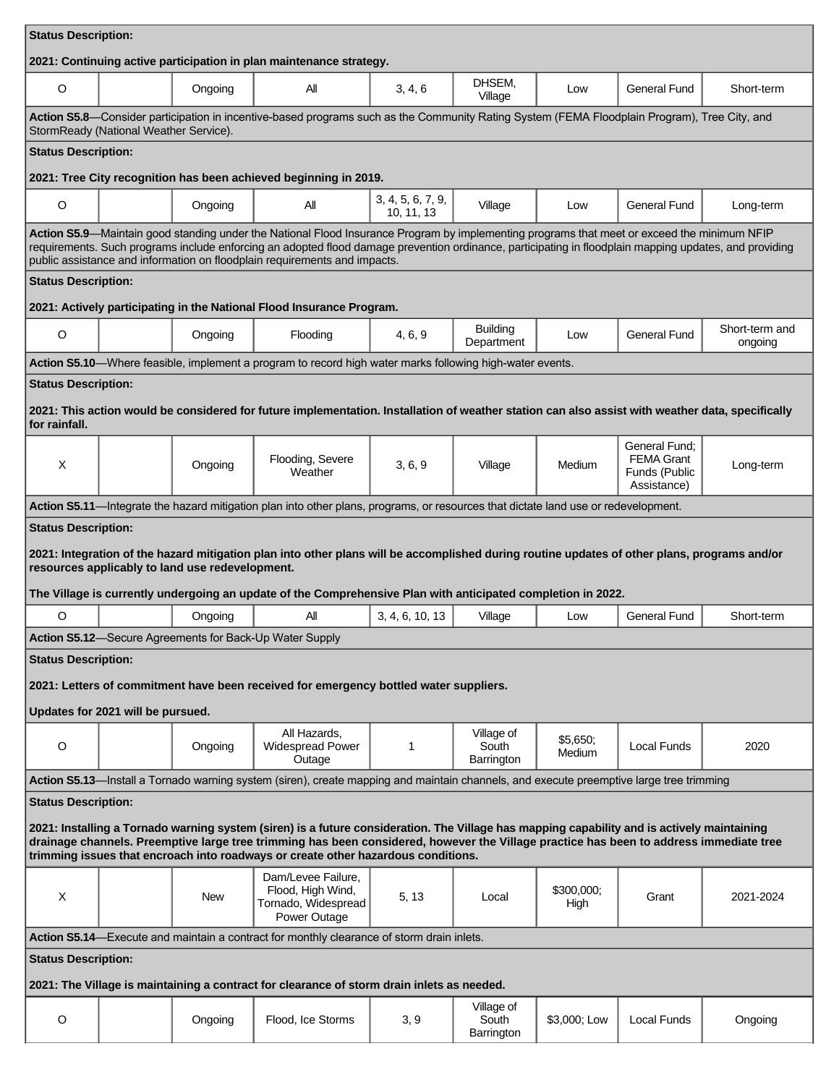| <b>Status Description:</b>                                                                                                                                                                                                                                                                                                                                                                               |                                                                                                                                                                                        |         |                                                                                                                                    |                                 |                                   |                    |                                                                    |                           |  |
|----------------------------------------------------------------------------------------------------------------------------------------------------------------------------------------------------------------------------------------------------------------------------------------------------------------------------------------------------------------------------------------------------------|----------------------------------------------------------------------------------------------------------------------------------------------------------------------------------------|---------|------------------------------------------------------------------------------------------------------------------------------------|---------------------------------|-----------------------------------|--------------------|--------------------------------------------------------------------|---------------------------|--|
| 2021: Continuing active participation in plan maintenance strategy.                                                                                                                                                                                                                                                                                                                                      |                                                                                                                                                                                        |         |                                                                                                                                    |                                 |                                   |                    |                                                                    |                           |  |
| O                                                                                                                                                                                                                                                                                                                                                                                                        |                                                                                                                                                                                        | Ongoing | All                                                                                                                                | 3, 4, 6                         | DHSEM,<br>Village                 | Low                | <b>General Fund</b>                                                | Short-term                |  |
|                                                                                                                                                                                                                                                                                                                                                                                                          | Action S5.8—Consider participation in incentive-based programs such as the Community Rating System (FEMA Floodplain Program), Tree City, and<br>StormReady (National Weather Service). |         |                                                                                                                                    |                                 |                                   |                    |                                                                    |                           |  |
| <b>Status Description:</b>                                                                                                                                                                                                                                                                                                                                                                               |                                                                                                                                                                                        |         |                                                                                                                                    |                                 |                                   |                    |                                                                    |                           |  |
|                                                                                                                                                                                                                                                                                                                                                                                                          |                                                                                                                                                                                        |         | 2021: Tree City recognition has been achieved beginning in 2019.                                                                   |                                 |                                   |                    |                                                                    |                           |  |
| O                                                                                                                                                                                                                                                                                                                                                                                                        |                                                                                                                                                                                        | Ongoing | All                                                                                                                                | 3, 4, 5, 6, 7, 9,<br>10, 11, 13 | Village                           | Low                | <b>General Fund</b>                                                | Long-term                 |  |
| Action S5.9-Maintain good standing under the National Flood Insurance Program by implementing programs that meet or exceed the minimum NFIP<br>requirements. Such programs include enforcing an adopted flood damage prevention ordinance, participating in floodplain mapping updates, and providing<br>public assistance and information on floodplain requirements and impacts.                       |                                                                                                                                                                                        |         |                                                                                                                                    |                                 |                                   |                    |                                                                    |                           |  |
| <b>Status Description:</b>                                                                                                                                                                                                                                                                                                                                                                               |                                                                                                                                                                                        |         |                                                                                                                                    |                                 |                                   |                    |                                                                    |                           |  |
|                                                                                                                                                                                                                                                                                                                                                                                                          |                                                                                                                                                                                        |         | 2021: Actively participating in the National Flood Insurance Program.                                                              |                                 |                                   |                    |                                                                    |                           |  |
| $\circ$                                                                                                                                                                                                                                                                                                                                                                                                  |                                                                                                                                                                                        | Ongoing | Flooding                                                                                                                           | 4, 6, 9                         | <b>Building</b><br>Department     | Low                | <b>General Fund</b>                                                | Short-term and<br>ongoing |  |
|                                                                                                                                                                                                                                                                                                                                                                                                          |                                                                                                                                                                                        |         | Action S5.10—Where feasible, implement a program to record high water marks following high-water events.                           |                                 |                                   |                    |                                                                    |                           |  |
| <b>Status Description:</b><br>2021: This action would be considered for future implementation. Installation of weather station can also assist with weather data, specifically<br>for rainfall.                                                                                                                                                                                                          |                                                                                                                                                                                        |         |                                                                                                                                    |                                 |                                   |                    |                                                                    |                           |  |
| X                                                                                                                                                                                                                                                                                                                                                                                                        |                                                                                                                                                                                        | Ongoing | Flooding, Severe<br>Weather                                                                                                        | 3, 6, 9                         | Village                           | Medium             | General Fund:<br><b>FEMA Grant</b><br>Funds (Public<br>Assistance) | Long-term                 |  |
|                                                                                                                                                                                                                                                                                                                                                                                                          |                                                                                                                                                                                        |         | Action S5.11-Integrate the hazard mitigation plan into other plans, programs, or resources that dictate land use or redevelopment. |                                 |                                   |                    |                                                                    |                           |  |
| <b>Status Description:</b><br>2021: Integration of the hazard mitigation plan into other plans will be accomplished during routine updates of other plans, programs and/or<br>resources applicably to land use redevelopment.<br>The Village is currently undergoing an update of the Comprehensive Plan with anticipated completion in 2022.                                                            |                                                                                                                                                                                        |         |                                                                                                                                    |                                 |                                   |                    |                                                                    |                           |  |
| O                                                                                                                                                                                                                                                                                                                                                                                                        |                                                                                                                                                                                        | Ongoing | Αll                                                                                                                                | 3, 4, 6, 10, 13                 | Village                           | Low                | <b>General Fund</b>                                                | Short-term                |  |
|                                                                                                                                                                                                                                                                                                                                                                                                          |                                                                                                                                                                                        |         | Action S5.12-Secure Agreements for Back-Up Water Supply                                                                            |                                 |                                   |                    |                                                                    |                           |  |
| <b>Status Description:</b><br>2021: Letters of commitment have been received for emergency bottled water suppliers.<br>Updates for 2021 will be pursued.                                                                                                                                                                                                                                                 |                                                                                                                                                                                        |         |                                                                                                                                    |                                 |                                   |                    |                                                                    |                           |  |
| O                                                                                                                                                                                                                                                                                                                                                                                                        |                                                                                                                                                                                        | Ongoing | All Hazards,<br><b>Widespread Power</b><br>Outage                                                                                  | $\mathbf{1}$                    | Village of<br>South<br>Barrington | \$5,650;<br>Medium | Local Funds                                                        | 2020                      |  |
|                                                                                                                                                                                                                                                                                                                                                                                                          | Action S5.13—Install a Tornado warning system (siren), create mapping and maintain channels, and execute preemptive large tree trimming                                                |         |                                                                                                                                    |                                 |                                   |                    |                                                                    |                           |  |
| <b>Status Description:</b><br>2021: Installing a Tornado warning system (siren) is a future consideration. The Village has mapping capability and is actively maintaining<br>drainage channels. Preemptive large tree trimming has been considered, however the Village practice has been to address immediate tree<br>trimming issues that encroach into roadways or create other hazardous conditions. |                                                                                                                                                                                        |         |                                                                                                                                    |                                 |                                   |                    |                                                                    |                           |  |
| X                                                                                                                                                                                                                                                                                                                                                                                                        |                                                                                                                                                                                        | New     | Dam/Levee Failure,<br>Flood, High Wind,<br>Tornado, Widespread<br>Power Outage                                                     | 5, 13                           | Local                             | \$300,000;<br>High | Grant                                                              | 2021-2024                 |  |
| Action S5.14—Execute and maintain a contract for monthly clearance of storm drain inlets.                                                                                                                                                                                                                                                                                                                |                                                                                                                                                                                        |         |                                                                                                                                    |                                 |                                   |                    |                                                                    |                           |  |
| <b>Status Description:</b><br>2021: The Village is maintaining a contract for clearance of storm drain inlets as needed.                                                                                                                                                                                                                                                                                 |                                                                                                                                                                                        |         |                                                                                                                                    |                                 |                                   |                    |                                                                    |                           |  |
| O                                                                                                                                                                                                                                                                                                                                                                                                        |                                                                                                                                                                                        | Ongoing | Flood, Ice Storms                                                                                                                  | 3, 9                            | Village of<br>South<br>Barrington | \$3,000; Low       | Local Funds                                                        | Ongoing                   |  |